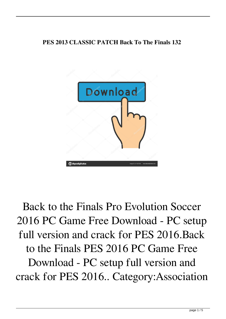## **PES 2013 CLASSIC PATCH Back To The Finals 132**



Back to the Finals Pro Evolution Soccer 2016 PC Game Free Download - PC setup full version and crack for PES 2016.Back to the Finals PES 2016 PC Game Free Download - PC setup full version and crack for PES 2016.. Category:Association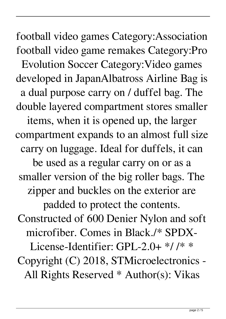football video games Category:Association football video game remakes Category:Pro Evolution Soccer Category:Video games developed in JapanAlbatross Airline Bag is a dual purpose carry on / duffel bag. The double layered compartment stores smaller items, when it is opened up, the larger compartment expands to an almost full size carry on luggage. Ideal for duffels, it can be used as a regular carry on or as a smaller version of the big roller bags. The zipper and buckles on the exterior are padded to protect the contents. Constructed of 600 Denier Nylon and soft microfiber. Comes in Black./\* SPDX-License-Identifier: GPL-2.0+ \*/ /\* \* Copyright (C) 2018, STMicroelectronics - All Rights Reserved \* Author(s): Vikas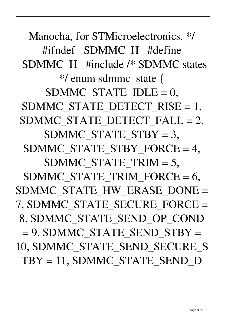Manocha, for STMicroelectronics. \*/ #ifndef SDMMC H #define \_SDMMC\_H\_ #include /\* SDMMC states \*/ enum sdmmc\_state { SDMMC STATE  $IDLE = 0$ , SDMMC\_STATE\_DETECT\_RISE = 1, SDMMC\_STATE\_DETECT\_FALL = 2, SDMMC\_STATE\_STBY = 3, SDMMC\_STATE\_STBY\_FORCE = 4. SDMMC\_STATE\_TRIM = 5, SDMMC\_STATE\_TRIM\_FORCE =  $6$ , SDMMC\_STATE\_HW\_ERASE\_DONE = 7, SDMMC\_STATE\_SECURE\_FORCE = 8, SDMMC\_STATE\_SEND\_OP\_COND  $= 9$ , SDMMC\_STATE\_SEND\_STBY = 10, SDMMC\_STATE\_SEND\_SECURE\_S  $TBY = 11$ , SDMMC\_STATE\_SEND\_D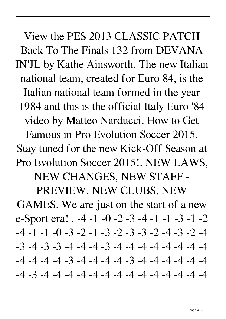View the PES 2013 CLASSIC PATCH Back To The Finals 132 from DEVANA IN'JL by Kathe Ainsworth. The new Italian national team, created for Euro 84, is the Italian national team formed in the year 1984 and this is the official Italy Euro '84 video by Matteo Narducci. How to Get Famous in Pro Evolution Soccer 2015.

Stay tuned for the new Kick-Off Season at Pro Evolution Soccer 2015!. NEW LAWS,

NEW CHANGES, NEW STAFF -

PREVIEW, NEW CLUBS, NEW GAMES. We are just on the start of a new e-Sport era! . -4 -1 -0 -2 -3 -4 -1 -1 -3 -1 -2  $-4$   $-1$   $-1$   $-0$   $-3$   $-2$   $-1$   $-3$   $-2$   $-3$   $-3$   $-2$   $-4$   $-3$   $-2$   $-4$  $-3$   $-4$   $-3$   $-3$   $-4$   $-4$   $-3$   $-4$   $-4$   $-4$   $-4$   $-4$   $-4$   $-4$  $-4$   $-4$   $-4$   $-3$   $-4$   $-4$   $-4$   $-3$   $-4$   $-4$   $-4$   $-4$   $-4$ -4 -3 -4 -4 -4 -4 -4 -4 -4 -4 -4 -4 -4 -4 -4 -4